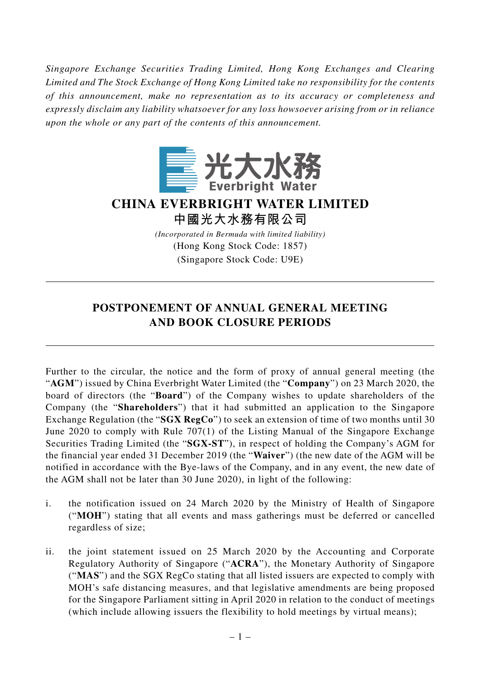*Singapore Exchange Securities Trading Limited, Hong Kong Exchanges and Clearing Limited and The Stock Exchange of Hong Kong Limited take no responsibility for the contents of this announcement, make no representation as to its accuracy or completeness and expressly disclaim any liability whatsoever for any loss howsoever arising from or in reliance upon the whole or any part of the contents of this announcement.*



## **CHINA EVERBRIGHT WATER LIMITED 中國光大水務有限公司**

*(Incorporated in Bermuda with limited liability)* (Hong Kong Stock Code: 1857) (Singapore Stock Code: U9E)

## **POSTPONEMENT OF ANNUAL GENERAL MEETING AND BOOK CLOSURE PERIODS**

Further to the circular, the notice and the form of proxy of annual general meeting (the "**AGM**") issued by China Everbright Water Limited (the "**Company**") on 23 March 2020, the board of directors (the "**Board**") of the Company wishes to update shareholders of the Company (the "**Shareholders**") that it had submitted an application to the Singapore Exchange Regulation (the "**SGX RegCo**") to seek an extension of time of two months until 30 June 2020 to comply with Rule 707(1) of the Listing Manual of the Singapore Exchange Securities Trading Limited (the "**SGX-ST**"), in respect of holding the Company's AGM for the financial year ended 31 December 2019 (the "**Waiver**") (the new date of the AGM will be notified in accordance with the Bye-laws of the Company, and in any event, the new date of the AGM shall not be later than 30 June 2020), in light of the following:

- i. the notification issued on 24 March 2020 by the Ministry of Health of Singapore ("**MOH**") stating that all events and mass gatherings must be deferred or cancelled regardless of size;
- ii. the joint statement issued on 25 March 2020 by the Accounting and Corporate Regulatory Authority of Singapore ("**ACRA**"), the Monetary Authority of Singapore ("**MAS**") and the SGX RegCo stating that all listed issuers are expected to comply with MOH's safe distancing measures, and that legislative amendments are being proposed for the Singapore Parliament sitting in April 2020 in relation to the conduct of meetings (which include allowing issuers the flexibility to hold meetings by virtual means);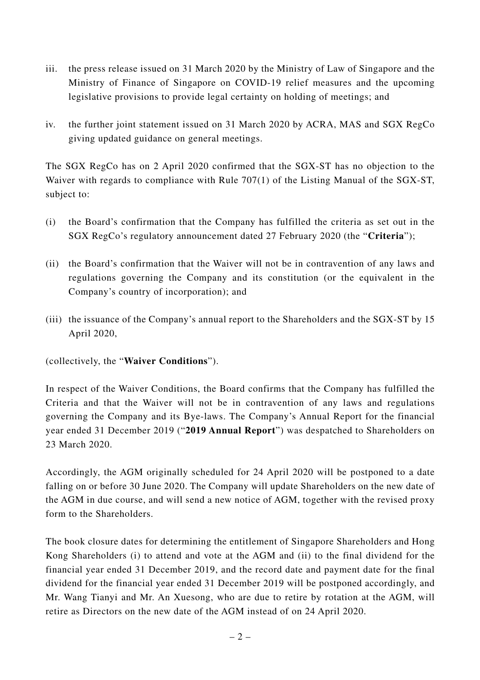- iii. the press release issued on 31 March 2020 by the Ministry of Law of Singapore and the Ministry of Finance of Singapore on COVID-19 relief measures and the upcoming legislative provisions to provide legal certainty on holding of meetings; and
- iv. the further joint statement issued on 31 March 2020 by ACRA, MAS and SGX RegCo giving updated guidance on general meetings.

The SGX RegCo has on 2 April 2020 confirmed that the SGX-ST has no objection to the Waiver with regards to compliance with Rule 707(1) of the Listing Manual of the SGX-ST, subject to:

- (i) the Board's confirmation that the Company has fulfilled the criteria as set out in the SGX RegCo's regulatory announcement dated 27 February 2020 (the "**Criteria**");
- (ii) the Board's confirmation that the Waiver will not be in contravention of any laws and regulations governing the Company and its constitution (or the equivalent in the Company's country of incorporation); and
- (iii) the issuance of the Company's annual report to the Shareholders and the SGX-ST by 15 April 2020,

(collectively, the "**Waiver Conditions**").

In respect of the Waiver Conditions, the Board confirms that the Company has fulfilled the Criteria and that the Waiver will not be in contravention of any laws and regulations governing the Company and its Bye-laws. The Company's Annual Report for the financial year ended 31 December 2019 ("**2019 Annual Report**") was despatched to Shareholders on 23 March 2020.

Accordingly, the AGM originally scheduled for 24 April 2020 will be postponed to a date falling on or before 30 June 2020. The Company will update Shareholders on the new date of the AGM in due course, and will send a new notice of AGM, together with the revised proxy form to the Shareholders.

The book closure dates for determining the entitlement of Singapore Shareholders and Hong Kong Shareholders (i) to attend and vote at the AGM and (ii) to the final dividend for the financial year ended 31 December 2019, and the record date and payment date for the final dividend for the financial year ended 31 December 2019 will be postponed accordingly, and Mr. Wang Tianyi and Mr. An Xuesong, who are due to retire by rotation at the AGM, will retire as Directors on the new date of the AGM instead of on 24 April 2020.